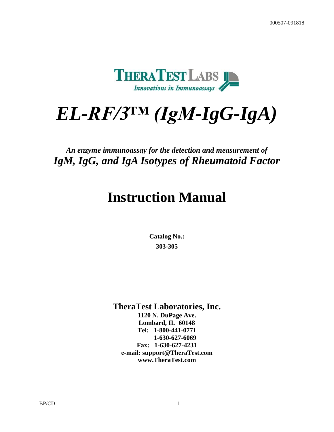

# *EL-RF/3™ (IgM-IgG-IgA)*

# *An enzyme immunoassay for the detection and measurement of IgM, IgG, and IgA Isotypes of Rheumatoid Factor*

# **Instruction Manual**

**Catalog No.: 303-305**

**TheraTest Laboratories, Inc.**

**1120 N. DuPage Ave. Lombard, IL 60148 Tel: 1-800-441-0771 1-630-627-6069 Fax: 1-630-627-4231 e-mail: support@TheraTest.com www.TheraTest.com**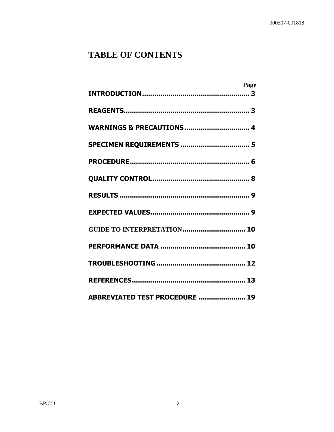# **TABLE OF CONTENTS**

| Page                                  |  |
|---------------------------------------|--|
|                                       |  |
|                                       |  |
| <b>WARNINGS &amp; PRECAUTIONS  4</b>  |  |
| SPECIMEN REQUIREMENTS  5              |  |
|                                       |  |
|                                       |  |
|                                       |  |
|                                       |  |
| <b>GUIDE TO INTERPRETATION 10</b>     |  |
|                                       |  |
|                                       |  |
|                                       |  |
| <b>ABBREVIATED TEST PROCEDURE  19</b> |  |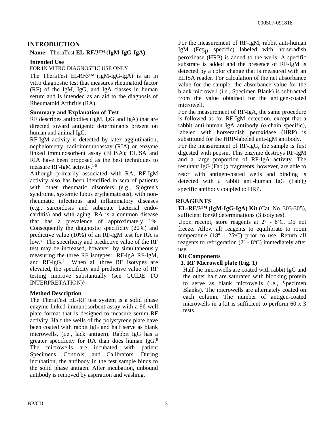#### **INTRODUCTION**

#### **Name:** TheraTest **EL-RF/3™ (IgM-IgG-IgA)**

#### **Intended Use**

#### FOR IN VITRO DIAGNOSTIC USE ONLY

The TheraTest EL-RF/3™ (IgM-IgG-IgA) is an in vitro diagnostic test that measures rheumatoid factor (RF) of the IgM, IgG, and IgA classes in human serum and is intended as an aid to the diagnosis of Rheumatoid Arthritis (RA).

#### **Summary and Explanation of Test**

RF describes antibodies (IgM, IgG and IgA) that are directed toward antigenic determinants present on human and animal IgG.

RF-IgM activity is detected by latex agglutination, nephelometry, radioimmunoassay (RIA) or enzyme linked immunosorbent assay (ELISA); ELISA and RIA have been proposed as the best techniques to measure RF-IgM activity.1-5

Although primarily associated with RA, RF-IgM activity also has been identified in sera of patients with other rheumatic disorders (e.g., Sjögren's syndrome, systemic lupus erythematosus), with nonrheumatic infectious and inflammatory diseases (e.g., sarcoidosis and subacute bacterial endocarditis) and with aging. RA is a common disease that has a prevalence of approximately 1%. Consequently the diagnostic specificity (20%) and predictive value (10%) of an RF-IgM test for RA is low.<sup>6</sup> The specificity and predictive value of the RF test may be increased, however, by simultaneously measuring the three RF isotypes: RF-IgA RF-IgM, and RF-IgG.<sup>7</sup> When all three RF isotypes are elevated, the specificity and predictive value of RF testing improve substantially (see GUIDE TO INTERPRETATION).<sup>8</sup>

#### **Method Description**

The TheraTest EL-RF test system is a solid phase enzyme linked immunosorbent assay with a 96-well plate format that is designed to measure serum RF activity. Half the wells of the polystyrene plate have been coated with rabbit IgG and half serve as blank microwells, (i.e., lack antigen). Rabbit IgG has a greater specificity for RA than does human IgG.<sup>9</sup> The microwells are incubated with patient Specimens, Controls, and Calibrators. During incubation, the antibody in the test sample binds to the solid phase antigen. After incubation, unbound antibody is removed by aspiration and washing.

For the measurement of RF-IgM, rabbit anti-human IgM (Fc5µ specific) labeled with horseradish peroxidase (HRP) is added to the wells. A specific substrate is added and the presence of RF-IgM is detected by a color change that is measured with an ELISA reader. For calculation of the net absorbance value for the sample, the absorbance value for the blank microwell (i.e., Specimen Blank) is subtracted from the value obtained for the antigen-coated microwell.

For the measurement of RF-IgA, the same procedure is followed as for RF-IgM detection, except that a rabbit anti-human IgA antibody (α-chain specific), labeled with horseradish peroxidase (HRP) is substituted for the HRP-labeled anti-IgM antibody.

For the measurement of RF-IgG, the sample is first digested with pepsin. This enzyme destroys RF-IgM and a large proportion of RF-IgA activity. The resultant IgG (Fab')2 fragments, however, are able to react with antigen-coated wells and binding is detected with a rabbit anti-human IgG (Fab')2 specific antibody coupled to HRP.

#### **REAGENTS**

**EL-RF/3™ (IgM-IgG-IgA) Kit** (Cat. No. 303-305), sufficient for 60 determinations (3 isotypes).

Upon receipt, store reagents at  $2^{\circ}$  - 8 $^{\circ}$ C. Do not freeze. Allow all reagents to equilibrate to room temperature  $(18^{\circ} - 25^{\circ}C)$  prior to use. Return all reagents to refrigeration  $(2^{\circ} - 8^{\circ}C)$  immediately after use.

#### **Kit Components**

#### **1. RF Microwell plate (Fig. 1)**

Half the microwells are coated with rabbit IgG and the other half are saturated with blocking protein to serve as blank microwells (i.e., Specimen Blanks). The microwells are alternately coated on each column. The number of antigen-coated microwells in a kit is sufficient to perform 60 x 3 tests.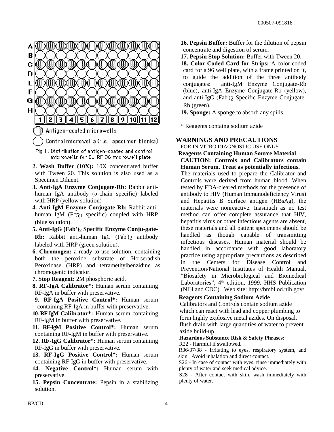

- **3. Anti-IgA Enzyme Conjugate-Rb:** Rabbit antihuman IgA antibody (α-chain specific) labeled with HRP (yellow solution)
- **4. Anti-IgM Enzyme Conjugate-Rb:** Rabbit antihuman IgM (Fc $5\mu$  specific) coupled with HRP (blue solution).
- **5. Anti-IgG (Fab')2 Specific Enzyme Conju-gate-Rb:** Rabbit anti-human IgG (Fab')2 antibody labeled with HRP (green solution).
- **6. Chromogen:** a ready to use solution, containing both the peroxide substrate of Horseradish Peroxidase (HRP) and tetramethylbenzidine as chromogenic indicator.
- **7. Stop Reagent:** 2M phosphoric acid.
- **8. RF-IgA Calibrator\*:** Human serum containing RF-IgA in buffer with preservative.
- **9. RF-IgA Positive Control\*:** Human serum containing RF-IgA in buffer with preservative.
- **10. RF-IgM Calibrator\*:** Human serum containing RF-IgM in buffer with preservative.
- **11. RF-IgM Positive Control\*:** Human serum containing RF-IgM in buffer with preservative.
- **12. RF-IgG Calibrator\*:** Human serum containing RF-IgG in buffer with preservative.
- **13. RF-IgG Positive Control\*:** Human serum containing RF-IgG in buffer with preservative.
- **14. Negative Control\*:** Human serum with preservative.
- **15. Pepsin Concentrate:** Pepsin in a stabilizing solution.
- **16. Pepsin Buffer:** Buffer for the dilution of pepsin concentrate and digestion of serum.
- **17. Pepsin Stop Solution:** Buffer with Tween 20.

**18. Color-Coded Card for Strips:** A color-coded card for a 96 well plate, with a frame printed on it, to guide the addition of the three antibody conjugates: anti-IgM Enzyme Conjugate-Rb (blue), anti-IgA Enzyme Conjugate-Rb (yellow), and anti-IgG (Fab')2 Specific Enzyme Conjugate-Rb (green).

**19. Sponge:** A sponge to absorb any spills.

\_\_\_\_\_\_\_\_\_\_\_\_\_\_\_\_\_\_\_\_\_\_\_\_\_\_\_\_\_\_\_\_\_\_\_\_\_\_

\* Reagents containg sodium azide

**WARNINGS AND PRECAUTIONS** FOR IN VITRO DIAGNOSTIC USE ONLY

**Reagents Containing Human Source Material CAUTION: Controls and Calibrators contain Human Serum. Treat as potentially infectious.**

The materials used to prepare the Calibrator and Controls were derived from human blood. When tested by FDA-cleared methods for the presence of antibody to HIV (Human Immunodeficiency Virus) and Hepatitis B Surface antigen (HBsAg), the materials were nonreactive. Inasmuch as no test method can offer complete assurance that HIV, hepatitis virus or other infectious agents are absent, these materials and all patient specimens should be handled as though capable of transmitting infectious diseases. Human material should be handled in accordance with good laboratory practice using appropriate precautions as described in the Centers for Disease Control and Prevention/National Institutes of Health Manual, "Biosafety in Microbiological and Biomedical Laboratories", 4<sup>th</sup> edition, 1999. HHS Publication (NIH and CDC). Web site: http://bmbl.od.nih.gov/

#### **Reagents Containing Sodium Azide**

Calibrators and Controls contain sodium azide which can react with lead and copper plumbing to form highly explosive metal azides. On disposal, flush drain with large quantities of water to prevent azide build-up.

## **Hazardous Substance Risk & Safety Phrases:**

R22 - Harmful if swallowed.

R36/37/38 - Irritating to eyes, respiratory system, and skin. Avoid inhalation and direct contact.

S26 - In case of contact with eyes, rinse immediately with plenty of water and seek medical advice.

S28 - After contact with skin, wash immediately with plenty of water.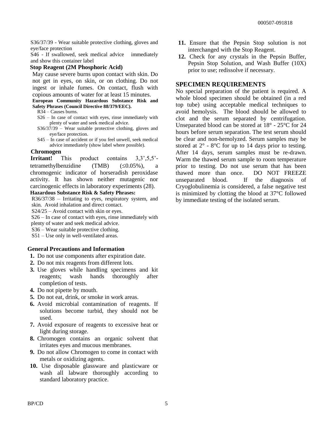S36/37/39 - Wear suitable protective clothing, gloves and eye/face protection

S46 - If swallowed, seek medical advice immediately and show this container label

#### **Stop Reagent (2M Phosphoric Acid)**

May cause severe burns upon contact with skin. Do not get in eyes, on skin, or on clothing. Do not ingest or inhale fumes. On contact, flush with copious amounts of water for at least 15 minutes.

**European Community Hazardous Substance Risk and Safety Phrases (Council Directive 88/379/EEC).**

- R34 Causes burns.
- S26 In case of contact with eyes, rinse immediately with plenty of water and seek medical advice.
- S36/37/39 Wear suitable protective clothing, gloves and eye/face protection.
- S45 In case of accident or if you feel unwell, seek medical advice immediately (show label where possible).

#### **Chromogen**

**Irritant!** This product contains  $3,3^{\circ},5,5^{\circ}$ tetramethylbenzidine  $(TMB)$   $(\leq 0.05\%)$ , a chromogenic indicator of horseradish peroxidase activity. It has shown neither mutagenic nor carcinogenic effects in laboratory experiments (28).

#### **Hazardous Substance Risk & Safety Phrases:**

R36/37/38 – Irritating to eyes, respiratory system, and skin. Avoid inhalation and direct contact.

S24/25 – Avoid contact with skin or eyes.

S26 – In case of contact with eyes, rinse immediately with plenty of water and seek medical advice.

S36 – Wear suitable protective clothing.

S51 – Use only in well-ventilated areas.

#### **General Precautions and Information**

- **1.** Do not use components after expiration date.
- **2.** Do not mix reagents from different lots.
- **3.** Use gloves while handling specimens and kit reagents; wash hands thoroughly after completion of tests.
- **4.** Do not pipette by mouth.
- **5.** Do not eat, drink, or smoke in work areas.
- **6.** Avoid microbial contamination of reagents. If solutions become turbid, they should not be used.
- **7.** Avoid exposure of reagents to excessive heat or light during storage.
- **8.** Chromogen contains an organic solvent that irritates eyes and mucous membranes.
- **9.** Do not allow Chromogen to come in contact with metals or oxidizing agents.
- **10.** Use disposable glassware and plasticware or wash all labware thoroughly according to standard laboratory practice.
- **11.** Ensure that the Pepsin Stop solution is not interchanged with the Stop Reagent.
- **12.** Check for any crystals in the Pepsin Buffer, Pepsin Stop Solution, and Wash Buffer (10X) prior to use; redissolve if necessary.

#### **SPECIMEN REQUIREMENTS**

No special preparation of the patient is required. A whole blood specimen should be obtained (in a red top tube) using acceptable medical techniques to avoid hemolysis. The blood should be allowed to clot and the serum separated by centrifugation. Unseparated blood can be stored at 18° - 25°C for 24 hours before serum separation. The test serum should be clear and non-hemolyzed. Serum samples may be stored at  $2^{\circ}$  -  $8^{\circ}$ C for up to 14 days prior to testing. After 14 days, serum samples must be re-drawn. Warm the thawed serum sample to room temperature prior to testing. Do not use serum that has been thawed more than once. DO NOT FREEZE unseparated blood. If the diagnosis of Cryoglobulinemia is considered, a false negative test is minimized by clotting the blood at 37°C followed by immediate testing of the isolated serum.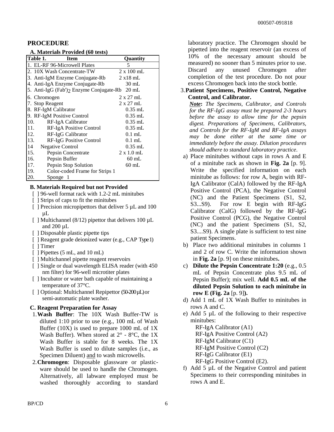#### **PROCEDURE**

#### **A. Materials Provided (60 tests)**

| Table 1.        | <b>Item</b>                             | Quantity          |
|-----------------|-----------------------------------------|-------------------|
|                 | 1. EL-RF 96-Microwell Plates            | 5                 |
|                 | 2. 10X Wash Concentrate-TW              | $2 \times 100$ mL |
|                 | 3. Anti-IgM Enzyme Conjugate-Rb         | $2 \times 18$ mL  |
|                 | 4. Anti-IgA Enzyme Conjugate-Rb         | $30 \text{ mL}$   |
|                 | 5. Anti-IgG (Fab')2 Enzyme Conjugate-Rb | $20 \text{ mL}$   |
| 6. Chromogen    |                                         | $2 \times 27$ mL  |
| 7. Stop Reagent |                                         | $2 \times 27$ mL  |
|                 | 8. RF-IgM Calibrator                    | $0.35$ mL         |
|                 | 9. RF-IgM Positive Control              | $0.35$ mL         |
| 10.             | RF-IgA Calibrator                       | $0.35$ mL         |
| 11.             | RF-IgA Positive Control                 | $0.35$ mL         |
| 12.             | RF-IgG Calibrator                       | $0.1$ mL          |
| 13.             | RF-IgG Positive Control                 | $0.1$ mL          |
| 14              | <b>Negative Control</b>                 | $0.35$ mL         |
| 15.             | Pepsin Concentrate                      | $2 \times 1.0$ mL |
| 16.             | Pepsin Buffer                           | $60$ mL           |
| 17.             | Pepsin Stop Solution                    | $60$ mL           |
| 19.             | Color-coded Frame for Strips 1          |                   |
| 20.             | Sponge 1                                |                   |

#### **B. Materials Required but not Provided**

- [ ] 96-well format rack with 1.2-2 mL minitubes
- [ ] Strips of caps to fit the minitubes
- [ ] Precision micropipettors that deliver  $5 \mu L$  and  $100$  $\mu$ L
- [ ] Multichannel (8/12) pipettor that delivers 100  $\mu$ L and  $200 \mu L$
- [ ] Disposable plastic pipette tips
- [ ] Reagent grade deionized water (e.g., CAP Type 1)
- [ ] Timer
- [ ] Pipettes (5 mL, and 10 mL)
- [ ] Multichannel pipette reagent reservoirs
- [ ] Single or dual wavelength ELISA reader (with 450) nm filter) for 96-well microtiter plates
- [ ] Incubator or water bath capable of maintaining a temperature of 37°C.
- [ ] Optional: Multichannel Repipettor (50-200 µL) or semi-automatic plate washer.

#### **C. Reagent Preparation for Assay**

- 1.**Wash Buffer**: The 10X Wash Buffer-TW is diluted 1:10 prior to use (e.g., 100 mL of Wash Buffer (10X) is used to prepare 1000 mL of 1X Wash Buffer). When stored at  $2^{\circ}$  -  $8^{\circ}$ C, the 1X Wash Buffer is stable for 8 weeks. The 1X Wash Buffer is used to dilute samples (i.e., as Specimen Diluent) and to wash microwells.
- 2.**Chromogen**: Disposable glassware or plasticware should be used to handle the Chromogen. Alternatively, all labware employed must be washed thoroughly according to standard

laboratory practice. The Chromogen should be pipetted into the reagent reservoir (an excess of 10% of the necessary amount should be measured) no sooner than 5 minutes prior to use. Discard any unused Chromogen after completion of the test procedure. Do not pour excess Chromogen back into the stock bottle.

#### 3.**Patient Specimens, Positive Control, Negative Control, and Calibrator.**

*Note***:** *The Specimens, Calibrator, and Controls for the RF-IgG assay must be prepared 2-3 hours before the assay to allow time for the pepsin digest. Preparations of Specimens, Calibrators, and Controls for the RF-IgM and RF-IgA assays may be done either at the same time or immediately before the assay. Dilution procedures should adhere to standard laboratory practice*.

- a) Place minitubes without caps in rows A and E of a minitube rack as shown in **Fig. 2a** [p. 9]. Write the specified information on each minitube as follows: for row A, begin with RF-IgA Calibrator (CalA) followed by the RF-IgA Positive Control (PCA), the Negative Control (NC) and the Patient Specimens (S1, S2, S3...S9). For row E begin with RF-IgG Calibrator (CalG) followed by the RF-IgG Positive Control (PCG), the Negative Control (NC) and the patient Specimens (S1, S2, S3....S9). A single plate is sufficient to test nine patient Specimens.
- b) Place two additional minitubes in columns 1 and 2 of row C. Write the information shown in **Fig. 2a** [p. 9] on these minitubes**.**
- c) **Dilute the Pepsin Concentrate 1:20** (e.g., 0.5 mL of Pepsin Concentrate plus 9.5 mL of Pepsin Buffer); mix well. **Add 0.5 mL of the diluted Pepsin Solution to each minitube in row E (Fig. 2a** [p. 9]**).**
- d) Add 1 mL of 1X Wash Buffer to minitubes in rows A and C.
- e) Add 5 µL of the following to their respective minitubes:

RF-IgA Calibrator (A1) RF-IgA Positive Control (A2) RF-IgM Calibrator (C1) RF-IgM Positive Control (C2) RF-IgG Calibrator (E1) RF-IgG Positive Control (E2).

f) Add 5 µL of the Negative Control and patient Specimens to their corresponding minitubes in rows A and E.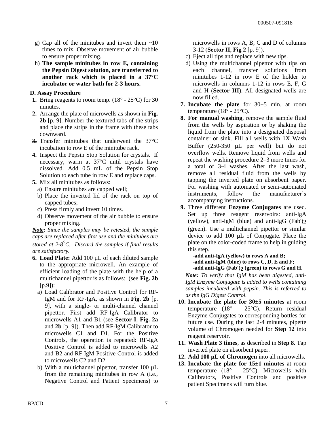- g) Cap all of the minitubes and invert them ~10 times to mix. Observe movement of air bubble to ensure proper mixing.
- h) **The sample minitubes in row E, containing the Pepsin Digest solution, are transferred to another rack which is placed in a 37°C incubator or water bath for 2-3 hours.**

#### **D. Assay Procedure**

- **1.** Bring reagents to room temp.  $(18^{\circ} 25^{\circ}C)$  for 30 minutes.
- **2.** Arrange the plate of microwells as shown in **Fig. 2b** [p. 9]. Number the textured tabs of the strips and place the strips in the frame with these tabs downward.
- **3.** Transfer minitubes that underwent the 37°C incubation to row E of the minitube rack.
- **4.** Inspect the Pepsin Stop Solution for crystals. If necessary, warm at 37°C until crystals have dissolved. Add 0.5 mL of the Pepsin Stop Solution to each tube in row E and replace caps.
- **5.** Mix all minitubes as follows:
	- a) Ensure minitubes are capped well;
	- b) Place the inverted lid of the rack on top of capped tubes;
	- c) Press firmly and invert 10 times.
	- d) Observe movement of the air bubble to ensure proper mixing.

*Note***:** *Since the samples may be retested, the sample caps are replaced after first use and the minitubes are stored at 2-8 °C. Discard the samples if final results are satisfactory.*

- **6. Load Plate:** Add 100 µL of each diluted sample to the appropriate microwell. An example of efficient loading of the plate with the help of a multichannel pipettor is as follows: (see **Fig. 2b**   $[p.9]$ :
	- a) Load Calibrator and Positive Control for RF-IgM and for RF-IgA, as shown in **Fig. 2b** [p. 9], with a single- or multi-channel channel pipettor. First add RF-IgA Calibrator to microwells A1 and B1 (see **Sector I**, **Fig. 2a** and **2b** [p. 9]). Then add RF-IgM Calibrator to microwells C1 and D1. For the Positive Controls, the operation is repeated: RF-IgA Positive Control is added to microwells A2 and B2 and RF-IgM Positive Control is added to microwells C2 and D2.
	- b) With a multichannel pipettor, transfer  $100 \mu L$ from the remaining minitubes in row A (i.e., Negative Control and Patient Specimens) to

microwells in rows A, B, C and D of columns 3-12 (**Sector II, Fig 2** [p. 9]).

- c) Eject all tips and replace with new tips.
- d) Using the multichannel pipettor with tips on each channel, transfer solutions from minitubes 1-12 in row E of the holder to microwells in columns 1-12 in rows E, F, G and H (**Sector III**). All designated wells are now filled.
- **7. Incubate the plate** for 30±5 min. at room temperature  $(18^{\circ} - 25^{\circ}C)$ .
- **8. For manual washing**, remove the sample fluid from the wells by aspiration or by shaking the liquid from the plate into a designated disposal container or sink. Fill all wells with 1X Wash Buffer  $(250-350 \mu L$  per well) but do not overflow wells. Remove liquid from wells and repeat the washing procedure 2–3 more times for a total of 3-4 washes. After the last wash, remove all residual fluid from the wells by tapping the inverted plate on absorbent paper. For washing with automated or semi-automated instruments, follow the manufacturer's accompanying instructions.
- **9.** Three different **Enzyme Conjugates** are used. Set up three reagent reservoirs: anti-IgA (yellow), anti-IgM (blue) and anti-IgG (Fab')2 (green). Use a multichannel pipettor or similar device to add 100 µL of Conjugate. Place the plate on the color-coded frame to help in guiding this step.

**-add anti-IgA (yellow) to rows A and B; -add anti-IgM (blue) to rows C, D, E and F; -add anti-IgG (Fab')2 (green) to rows G and H.**

*Note: To verify that IgM has been digested, anti-IgM Enzyme Conjugate is added to wells containing samples incubated with pepsin*. *This is referred to as the IgG Digest Control*.

- **10. Incubate the plate for 30±5 minutes** at room temperature  $(18^{\circ} - 25^{\circ}C)$ . Return residual Enzyme Conjugates to corresponding bottles for future use. During the last 2-4 minutes, pipette volume of Chromogen needed for **Step 12** into reagent reservoir.
- **11. Wash Plate 3 times**, as described in **Step 8**. Tap inverted plate on absorbent paper.
- **12. Add 100 µL of Chromogen** into all microwells.
- **13. Incubate the plate for 15±1 minutes** at room temperature (18 $\degree$  - 25 $\degree$ C). Microwells with Calibrators, Positive Controls and positive patient Specimens will turn blue.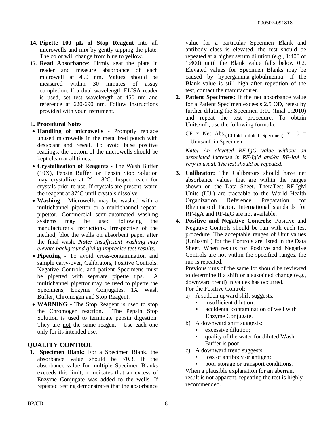- **14. Pipette 100 µL of Stop Reagent** into all microwells and mix by gently tapping the plate. The color will change from blue to yellow.
- **15. Read Absorbance**: Firmly seat the plate in reader and measure absorbance of each microwell at 450 nm. Values should be measured within 30 minutes of assay completion. If a dual wavelength ELISA reader is used, set test wavelength at 450 nm and reference at 620-690 nm. Follow instructions provided with your instrument.

#### **E. Procedural Notes**

- **Handling of microwells** Promptly replace unused microwells in the metallized pouch with desiccant and reseal. To avoid false positive readings, the bottom of the microwells should be kept clean at all times.
- **Crystallization of Reagents -** The Wash Buffer (10X), Pepsin Buffer, or Pepsin Stop Solution may crystallize at 2° - 8°C. Inspect each for crystals prior to use. If crystals are present, warm the reagent at 37°C until crystals dissolve.
- **Washing** Microwells may be washed with a multichannel pipettor or a multichannel repeatpipettor. Commercial semi-automated washing systems may be used following the manufacturer's instructions. Irrespective of the method, blot the wells on absorbent paper after the final wash. *Note: Insufficient washing may elevate background giving imprecise test results.*
- **Pipetting** To avoid cross-contamination and sample carry-over, Calibrators, Positive Controls, Negative Controls, and patient Specimens must be pipetted with separate pipette tips*.* A multichannel pipettor may be used to pipette the Specimens, Enzyme Conjugates, 1X Wash Buffer, Chromogen and Stop Reagent.
- **WARNING -** The Stop Reagent is used to stop the Chromogen reaction. The Pepsin Stop Solution is used to terminate pepsin digestion. They are not the same reagent. Use each one only for its intended use.

#### **QUALITY CONTROL**

**1. Specimen Blank:** For a Specimen Blank, the absorbance value should be  $\leq 0.3$ . If the absorbance value for multiple Specimen Blanks exceeds this limit, it indicates that an excess of Enzyme Conjugate was added to the wells. If repeated testing demonstrates that the absorbance value for a particular Specimen Blank and antibody class is elevated, the test should be repeated at a higher serum dilution (e.g., 1:400 or 1:800) until the Blank value falls below 0.2. Elevated values for Specimen Blanks may be caused by hypergamma-globulinemia. If the Blank value is still high after repetition of the test, contact the manufacturer.

**2. Patient Specimens:** If the net absorbance value for a Patient Specimen exceeds 2.5 OD, retest by further diluting the Specimen 1:10 (final 1:2010) and repeat the test procedure. To obtain Units/mL, use the following formula:

CF x Net Abs.(10-fold diluted Specimen)  $x = 10$  = Units/mL in Specimen

*Note: An elevated RF-IgG value without an associated increase in RF-IgM and/or RF-IgA is very unusual. The test should be repeated.* 

- **3. Calibrator:** The Calibrators should have net absorbance values that are within the ranges shown on the Data Sheet. TheraTest RF-IgM Units (I.U.) are traceable to the World Health Organization Reference Preparation for Rheumatoid Factor. International standards for RF-IgA and RF-IgG are not available.
- **4. Positive and Negative Controls:** Positive and Negative Controls should be run with each test procedure. The acceptable ranges of Unit values (Units/mL) for the Controls are listed in the Data Sheet. When results for Positive and Negative Controls are not within the specified ranges, the run is repeated.

Previous runs of the same lot should be reviewed to determine if a shift or a sustained change (e.g., downward trend) in values has occurred. For the Positive Control:

- a) A sudden upward shift suggests:
	- insufficient dilution;
		- accidental contamination of well with Enzyme Conjugate.
- b) A downward shift suggests:
	- excessive dilution;
	- quality of the water for diluted Wash Buffer is poor.
- c) A downward trend suggests:
	- loss of antibody or antigen;

• poor storage or transport conditions. When a plausible explanation for an aberrant result is not apparent, repeating the test is highly recommended.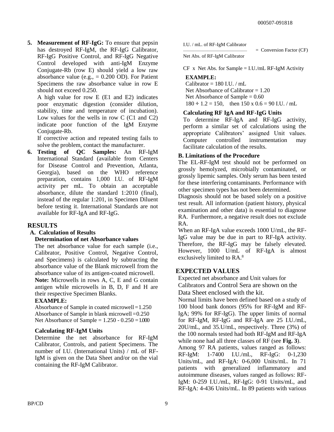**5. Measurement of RF-IgG:** To ensure that pepsin has destroyed RF-IgM, the RF-IgG Calibrator, RF-IgG Positive Control, and RF-IgG Negative Control developed with anti-IgM Enzyme Conjugate-Rb (row E) should yield a low raw absorbance value (e.g.,  $= 0.200$  OD). For Patient Specimens the raw absorbance value in row E should not exceed 0.250.

A high value for row E (E1 and E2) indicates poor enzymatic digestion (consider dilution, stability, time and temperature of incubation). Low values for the wells in row C (C1 and C2) indicate poor function of the IgM Enzyme Conjugate-Rb.

If corrective action and repeated testing fails to solve the problem, contact the manufacturer.

**6. Testing of QC Samples:** An RF-IgM International Standard (available from Centers for Disease Control and Prevention, Atlanta, Georgia), based on the WHO reference preparation, contains 1,000 I.U. of RF-IgM activity per mL. To obtain an acceptable absorbance, dilute the standard 1:2010 (final), instead of the regular 1:201, in Specimen Diluent before testing it. International Standards are not available for RF-IgA and RF-IgG.

#### **RESULTS**

#### **A. Calculation of Results**

#### **Determination of net Absorbance values**

The net absorbance value for each sample (i.e., Calibrator, Positive Control, Negative Control, and Specimens) is calculated by subtracting the absorbance value of the Blank microwell from the absorbance value of its antigen-coated microwell.

**Note:** Microwells in rows A, C, E and G contain antigen while microwells in B, D, F and H are their respective Specimen Blanks.

#### **EXAMPLE:**

Absorbance of Sample in coated microwell = 1.250 Absorbance of Sample in blank microwell  $= 0.250$ Net Absorbance of Sample =  $1.250 - 0.250 = 1.000$ 

#### **Calculating RF-IgM Units**

Determine the net absorbance for RF-IgM Calibrator, Controls, and patient Specimens. The number of I.U. (International Units) / mL of RF-IgM is given on the Data Sheet and/or on the vial containing the RF-IgM Calibrator.

I.U. / mL. of RF-IgM Calibrator —————————————

= Conversion Factor (CF)

Net Abs. of RF-IgM Calibrator

 $CF x$  Net Abs. for Sample = I.U./mL RF-IgM Activity

#### **EXAMPLE:**

Calibrator  $= 180$  I.U. / mL Net Absorbance of Calibrator  $= 1.20$ Net Absorbance of Sample  $= 0.60$  $180 \div 1.2 = 150$ , then  $150 \times 0.6 = 90$  I.U. / mL

#### **Calculating RF IgA and RF-IgG Units**

To determine RF-IgA and RF-IgG activity, perform a similar set of calculations using the appropriate Calibrators' assigned Unit values. Computer controlled instrumentation may facilitate calculation of the results.

#### **B. Limitations of the Procedure**

The EL-RF-IgM test should not be performed on grossly hemolyzed, microbially contaminated, or grossly lipemic samples. Only serum has been tested for these interfering contaminants. Performance with other specimen types has not been determined.

Diagnosis should not be based solely on a positive test result. All information (patient history, physical examination and other data) is essential to diagnose RA. Furthermore, a negative result does not exclude RA.

When an RF-IgA value exceeds 1000 U/mL, the RF-IgG value may be due in part to RF-IgA activity. Therefore, the RF-IgG may be falsely elevated. However, 1000 U/mL of RF-IgA is almost exclusively limited to RA.<sup>8</sup>

#### **EXPECTED VALUES**

Expected net absorbance and Unit values for Calibrators and Control Sera are shown on the Data Sheet enclosed with the kit.

Normal limits have been defined based on a study of 100 blood bank donors (95% for RF-IgM and RF-IgA; 99% for RF-IgG). The upper limits of normal for RF-IgM, RF-IgG and RF-IgA are 25 I.U./mL, 20U/mL, and 35.U/mL, respectively. Three (3%) of the 100 normals tested had both RF-IgM and RF-IgA while none had all three classes of RF (see **Fig. 3**).

Among 97 RA patients, values ranged as follows: RF-IgM: 1-7400 I.U./mL, RF-IgG: 0-1,230 Units/mL, and RF-IgA: 0-6,000 Units/mL. In 71 patients with generalized inflammatory and autoimmune diseases, values ranged as follows: RF-IgM: 0-259 I.U./mL, RF-IgG: 0-91 Units/mL, and RF-IgA: 4-436 Units/mL. In 89 patients with various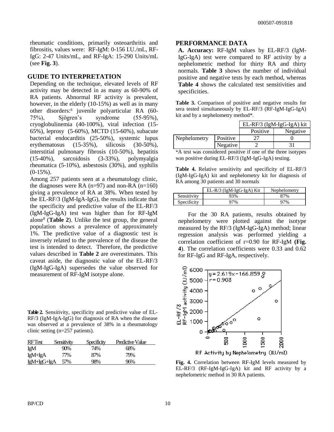rheumatic conditions, primarily osteoarthritis and fibrositis, values were: RF-IgM: 0-156 I.U./mL, RF-IgG: 2-47 Units/mL, and RF-IgA: 15-290 Units/mL (see **Fig. 3**).

#### **GUIDE TO INTERPRETATION**

Depending on the technique, elevated levels of RF activity may be detected in as many as 60-90% of RA patients. Abnormal RF activity is prevalent, however, in the elderly (10-15%) as well as in many other disorders:<sup>6</sup> juvenile polyarticular RA (60- 75%), Sjögren's syndrome (55-95%), cryoglobulinemia (40-100%), viral infection (15- 65%), leprosy (5-60%), MCTD (15-60%), subacute bacterial endocarditis (25-50%), systemic lupus erythematosus (15-35%), silicosis (30-50%), interstitial pulmonary fibrosis (10-50%), hepatitis (15-40%), sarcoidosis (3-33%), polymyalgia rheumatica (5-10%), asbestosis (30%), and syphilis  $(0-15\%)$ .

Among 257 patients seen at a rheumatology clinic, the diagnoses were RA  $(n=97)$  and non-RA  $(n=160)$ giving a prevalence of RA at 38%. When tested by the EL-RF/3 (IgM-IgA-IgG), the results indicate that the specificity and predictive value of the EL-RF/3 (IgM-IgG-IgA) test was higher than for RF-IgM alone<sup>8</sup> (**Table 2**). Unlike the test group, the general population shows a prevalence of approximately 1%. The predictive value of a diagnostic test is inversely related to the prevalence of the disease the test is intended to detect. Therefore, the predictive values described in **Table 2** are overestimates. This caveat aside, the diagnostic value of the EL-RF/3 (IgM-IgG-IgA) supersedes the value observed for measurement of RF-IgM isotype alone.

**Table 2.** Sensitivity, specificity and predictive value of EL-RF/3 (IgM-IgA-IgG) for diagnosis of RA when the disease was observed at a prevalence of 38% in a rheumatology clinic setting (n=257 patients).

| <b>RFTest</b>      | Sensitivity | Specificity | <b>Predictive Value</b> |
|--------------------|-------------|-------------|-------------------------|
| IgM                | 90%         | 74%         | 68%                     |
| IgM+IgA            | 77%         | 87%         | 79%                     |
| <u>IgM+IgG+IgA</u> | 57%         | 98%         | 96%                     |

#### **PERFORMANCE DATA**

**A. Accuracy:** RF-IgM values by EL-RF/3 (IgM-IgG-IgA) test were compared to RF activity by a nephelometric method for thirty RA and thirty normals. **Table 3** shows the number of individual positive and negative tests by each method, whereas **Table 4** shows the calculated test sensitivities and specificities.

Table 3. Comparison of positive and negative results for sera tested simultaneously by EL-RF/3 (RF-IgM-IgG-IgA) kit and by a nephelometry method\*.

|              |          |          | EL-RF/3 (IgM-IgG-IgA) kit |
|--------------|----------|----------|---------------------------|
|              |          | Positive | Negative                  |
| Nephelometry | Positive |          |                           |
|              | Negative |          |                           |

\*A test was considered positive if one of the three isotypes was positive during EL-RF/3 (IgM-IgG-IgA) testing.

**Table 4.** Relative sensitivity and specificity of EL-RF/3 (IgM-IgG-IgA) kit and nephelometry kit for diagnosis of RA among 30 patients and 30 normals

|             | $EL-R/3$ (IgM-IgG-IgA) Kit | Nephelometry |
|-------------|----------------------------|--------------|
| Sensitivity | 93%                        | 87%          |
| Specificity | 97%                        | 97%          |

For the 30 RA patients, results obtained by nephelometry were plotted against the isotype measured by the RF/3 (IgM-IgG-IgA) method; linear regression analysis was performed yielding a correlation coefficient of r=0.90 for RF-IgM **(Fig. 4**). The correlation coefficients were 0.33 and 0.62 for RF-IgG and RF-IgA, respectively.



**Fig. 4.** Correlation between RF-IgM levels measured by EL-RF/3 (RF-IgM-IgG-IgA) kit and RF activity by a nephelometric method in 30 RA patients.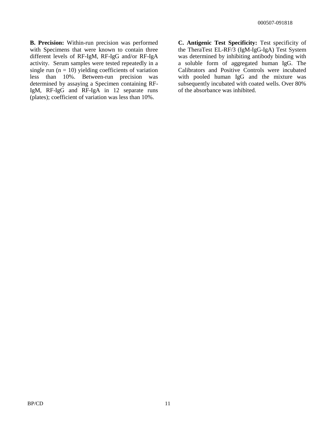**B. Precision:** Within-run precision was performed with Specimens that were known to contain three different levels of RF-IgM, RF-IgG and/or RF-IgA activity. Serum samples were tested repeatedly in a single run  $(n = 10)$  yielding coefficients of variation less than 10%. Between-run precision was determined by assaying a Specimen containing RF-IgM, RF-IgG and RF-IgA in 12 separate runs (plates); coefficient of variation was less than 10%.

**C. Antigenic Test Specificity:** Test specificity of the TheraTest EL-RF/3 (IgM-IgG-IgA) Test System was determined by inhibiting antibody binding with a soluble form of aggregated human IgG. The Calibrators and Positive Controls were incubated with pooled human IgG and the mixture was subsequently incubated with coated wells. Over 80% of the absorbance was inhibited.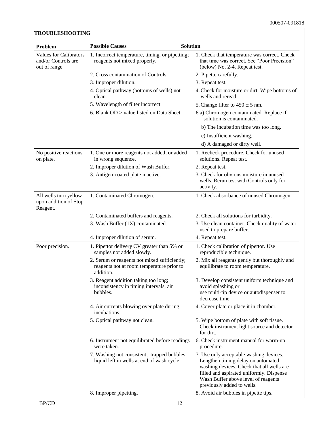#### **Problem Possible Causes Solution** Values for Calibrators and/or Controls are out of range. 1. Incorrect temperature, timing, or pipetting; reagents not mixed properly. 1. Check that temperature was correct. Check that time was correct. See "Poor Precision" (below) No. 2-4. Repeat test. 2. Cross contamination of Controls. 2. Pipette carefully. 3. Improper dilution. 3. Repeat test. 4. Optical pathway (bottoms of wells) not clean. 4.Check for moisture or dirt. Wipe bottoms of wells and reread. 5. Wavelength of filter incorrect. 5. Change filter to  $450 \pm 5$  nm. 6. Blank OD > value listed on Data Sheet. 6.a) Chromogen contaminated. Replace if solution is contaminated. b) The incubation time was too long. c) Insufficient washing. d) A damaged or dirty well. No positive reactions on plate. 1. One or more reagents not added, or added in wrong sequence. 1. Recheck procedure. Check for unused solutions. Repeat test. 2. Improper dilution of Wash Buffer. 2. Repeat test. 3. Antigen-coated plate inactive. 3. Check for obvious moisture in unused wells. Rerun test with Controls only for activity. All wells turn yellow upon addition of Stop Reagent. 1. Contaminated Chromogen. 1. Check absorbance of unused Chromogen 2. Contaminated buffers and reagents. 2. Check all solutions for turbidity. 3. Wash Buffer (1X) contaminated. 3. Use clean container. Check quality of water used to prepare buffer. 4. Improper dilution of serum. 4. Repeat test. Poor precision. 1. Pipettor delivery CV greater than 5% or samples not added slowly. 1. Check calibration of pipettor. Use reproducible technique. 2. Serum or reagents not mixed sufficiently; reagents not at room temperature prior to addition. 2. Mix all reagents gently but thoroughly and equilibrate to room temperature. 3. Reagent addition taking too long; inconsistency in timing intervals, air bubbles. 3. Develop consistent uniform technique and avoid splashing or use multi-tip device or autodispenser to decrease time. 4. Air currents blowing over plate during incubations. 4. Cover plate or place it in chamber. 5. Optical pathway not clean. 5. Wipe bottom of plate with soft tissue. Check instrument light source and detector for dirt. 6. Instrument not equilibrated before readings were taken. 6. Check instrument manual for warm-up procedure. 7. Washing not consistent; trapped bubbles; liquid left in wells at end of wash cycle. 7. Use only acceptable washing devices. Lengthen timing delay on automated washing devices. Check that all wells are filled and aspirated uniformly. Dispense Wash Buffer above level of reagents previously added to wells. 8. Improper pipetting. 8. Avoid air bubbles in pipette tips.

**TROUBLESHOOTING**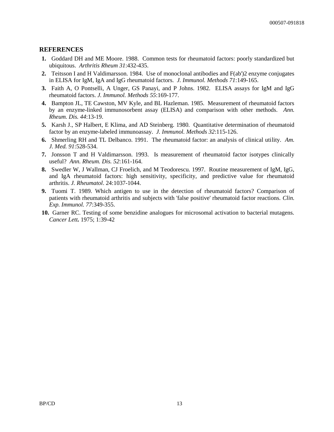#### **REFERENCES**

- **1.** Goddard DH and ME Moore. 1988. Common tests for rheumatoid factors: poorly standardized but ubiquitous. *Arthritis Rheum 31*:432-435.
- **2.** Teitsson I and H Valdimarsson. 1984. Use of monoclonal antibodies and F(ab')2 enzyme conjugates in ELISA for IgM, IgA and IgG rheumatoid factors. *J. Immunol. Methods 71*:149-165.
- **3.** Faith A, O Pontselli, A Unger, GS Panayi, and P Johns. 1982. ELISA assays for IgM and IgG rheumatoid factors. *J. Immunol. Methods 55*:169-177.
- **4.** Bampton JL, TE Cawston, MV Kyle, and BL Hazleman. 1985. Measurement of rheumatoid factors by an enzyme-linked immunosorbent assay (ELISA) and comparison with other methods. *Ann. Rheum. Dis. 44*:13-19.
- **5.** Karsh J., SP Halbert, E Klima, and AD Steinberg. 1980. Quantitative determination of rheumatoid factor by an enzyme-labeled immunoassay. *J. Immunol. Methods 32*:115-126.
- **6.** Shmerling RH and TL Delbanco. 1991. The rheumatoid factor: an analysis of clinical utility. *Am. J. Med. 91*:528-534.
- **7.** Jonsson T and H Valdimarsson. 1993. Is measurement of rheumatoid factor isotypes clinically useful? *Ann. Rheum. Dis. 52*:161-164.
- **8.** Swedler W, J Wallman, CJ Froelich, and M Teodorescu. 1997. Routine measurement of IgM, IgG, and IgA rheumatoid factors: high sensitivity, specificity, and predictive value for rheumatoid arthritis. *J. Rheumatol*. 24:1037-1044.
- **9.** Tuomi T. 1989. Which antigen to use in the detection of rheumatoid factors? Comparison of patients with rheumatoid arthritis and subjects with 'false positive' rheumatoid factor reactions. *Clin. Exp. Immunol. 77*:349-355.
- **10.** Garner RC. Testing of some benzidine analogues for microsomal activation to bacterial mutagens. *Cancer Lett.* 1975; 1:39-42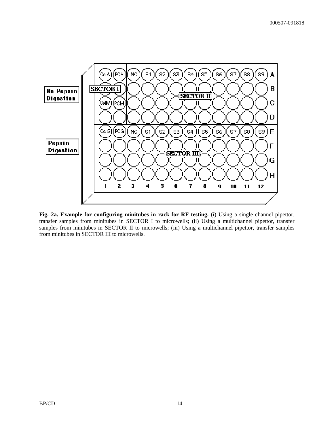

**Fig. 2a. Example for configuring minitubes in rack for RF testing.** (i) Using a single channel pipettor, transfer samples from minitubes in SECTOR I to microwells; (ii) Using a multichannel pipettor, transfer samples from minitubes in SECTOR II to microwells; (iii) Using a multichannel pipettor, transfer samples from minitubes in SECTOR III to microwells.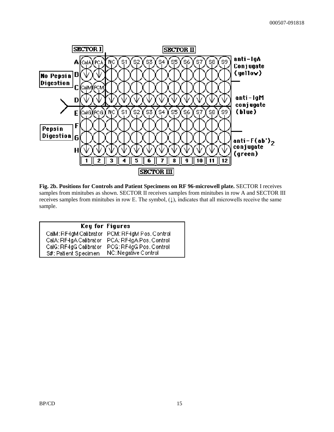

**Fig. 2b. Positions for Controls and Patient Specimens on RF 96-microwell plate.** SECTOR I receives samples from minitubes as shown. SECTOR II receives samples from minitubes in row A and SECTOR III receives samples from minitubes in row E. The symbol,  $(1)$ , indicates that all microwells receive the same sample.

|                         | <b>Key for Figures</b>                           |
|-------------------------|--------------------------------------------------|
|                         | CalM: RF-IgM Calibrator PCM: RF-IgM Pos. Control |
| CalA: RF-IgA Calibrator | PCA: RF-IgA Pos. Control                         |
| CalG: RF-IgG Calibrator | PCG: RF-IgG Pos. Control                         |
| S#: Patient Specimen    | NC: Negative Control                             |
|                         |                                                  |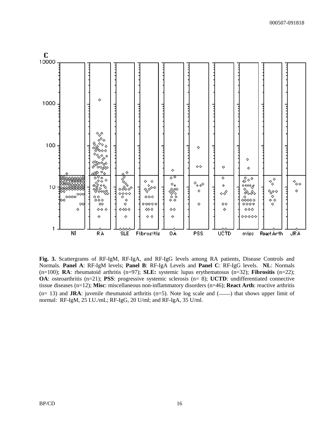

**Fig. 3.** Scattergrams of RF-IgM, RF-IgA, and RF-IgG levels among RA patients, Disease Controls and Normals. **Panel A**: RF-IgM levels; **Panel B**: RF-IgA Levels and **Panel C**: RF-IgG levels. **NL**: Normals (n=100); **RA**: rheumatoid arthritis (n=97); **SLE:** systemic lupus erythematosus (n=32); **Fibrositis** (n=22); **OA**: osteoarthritis (n=21); **PSS**: progressive systemic sclerosis (n= 8); **UCTD**: undifferentiated connective tissue diseases (n=12); **Misc**: miscellaneous non-inflammatory disorders (n=46); **React Arth**: reactive arthritis  $(n= 13)$  and **JRA**: juvenile rheumatoid arthritis  $(n=5)$ . Note log scale and  $(—)$  that shows upper limit of normal: RF-IgM, 25 I.U./mL; RF-IgG, 20 U/ml; and RF-IgA, 35 U/ml.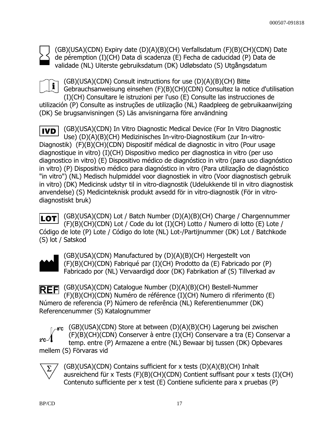(GB)(USA)(CDN) Expiry date (D)(A)(B)(CH) Verfallsdatum (F)(B)(CH)(CDN) Date de péremption (I)(CH) Data di scadenza (E) Fecha de caducidad (P) Data de validade (NL) Uiterste gebruiksdatum (DK) Udløbsdato (S) Utgångsdatum

(GB)(USA)(CDN) Consult instructions for use (D)(A)(B)(CH) Bitte  $\mathbf{i}$ Gebrauchsanweisung einsehen (F)(B)(CH)(CDN) Consultez la notice d'utilisation (I)(CH) Consultare le istruzioni per l'uso (E) Consulte las instrucciones de utilización (P) Consulte as instruções de utilização (NL) Raadpleeg de gebruikaanwijzing (DK) Se brugsanvisningen (S) Läs anvisningarna före användning

(GB)(USA)(CDN) In Vitro Diagnostic Medical Device (For In Vitro Diagnostic **IVD** Use) (D)(A)(B)(CH) Medizinisches In-vitro-Diagnostikum (zur In-vitro-Diagnostik) (F)(B)(CH)(CDN) Dispositif médical de diagnostic in vitro (Pour usage diagnostique in vitro) (I)(CH) Dispositivo medico per diagnostica in vitro (per uso diagnostico in vitro) (E) Dispositivo médico de diagnóstico in vitro (para uso diagnóstico in vitro) (P) Dispositivo médico para diagnóstico in vitro (Para utilização de diagnóstico "in vitro") (NL) Medisch hulpmiddel voor diagnostiek in vitro (Voor diagnostisch gebruik in vitro) (DK) Medicinsk udstyr til in vitro-diagnostik (Udelukkende til in vitro diagnostisk anvendelse) (S) Medicinteknisk produkt avsedd för in vitro-diagnostik (För in vitrodiagnostiskt bruk)

(GB)(USA)(CDN) Lot / Batch Number (D)(A)(B)(CH) Charge / Chargennummer **ILOT** (F)(B)(CH)(CDN) Lot / Code du lot (I)(CH) Lotto / Numero di lotto (E) Lote / Código de lote (P) Lote / Código do lote (NL) Lot-/Partijnummer (DK) Lot / Batchkode (S) lot / Satskod



(GB)(USA)(CDN) Manufactured by (D)(A)(B)(CH) Hergestellt von (F)(B)(CH)(CDN) Fabriqué par (I)(CH) Prodotto da (E) Fabricado por (P) Fabricado por (NL) Vervaardigd door (DK) Fabrikation af (S) Tillverkad av

(GB)(USA)(CDN) Catalogue Number (D)(A)(B)(CH) Bestell-Nummer **REF** (F)(B)(CH)(CDN) Numéro de référence (I)(CH) Numero di riferimento (E) Número de referencia (P) Número de referência (NL) Referentienummer (DK) Referencenummer (S) Katalognummer

 $_{\text{e}8\textdegree}$  (GB)(USA)(CDN) Store at between (D)(A)(B)(CH) Lagerung bei zwischen (F)(B)(CH)(CDN) Conserver à entre (I)(CH) Conservare a tra (E) Conservar a temp. entre (P) Armazene a entre (NL) Bewaar bij tussen (DK) Opbevares mellem (S) Förvaras vid



(GB)(USA)(CDN) Contains sufficient for x tests (D)(A)(B)(CH) Inhalt ausreichend für x Tests (F)(B)(CH)(CDN) Contient suffisant pour x tests (I)(CH) Contenuto sufficiente per x test (E) Contiene suficiente para x pruebas (P)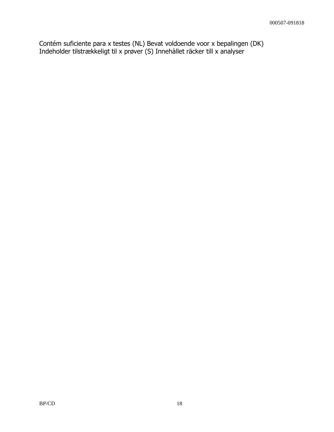Contém suficiente para x testes (NL) Bevat voldoende voor x bepalingen (DK) Indeholder tilstrækkeligt til x prøver (S) Innehàllet räcker till x analyser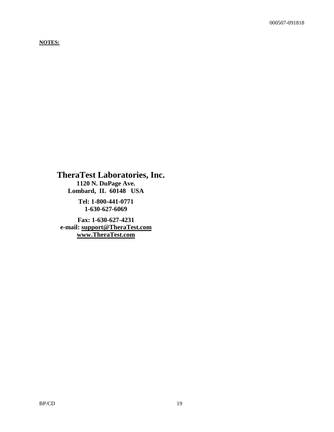#### **NOTES:**

**TheraTest Laboratories, Inc. 1120 N. DuPage Ave. Lombard, IL 60148 USA**

> **Tel: 1-800-441-0771 1-630-627-6069**

**Fax: 1-630-627-4231 e-mail: [support@TheraTest.com](mailto:sm@TheraTest.com) [www.TheraTest.com](http://www.theratest.com/)**